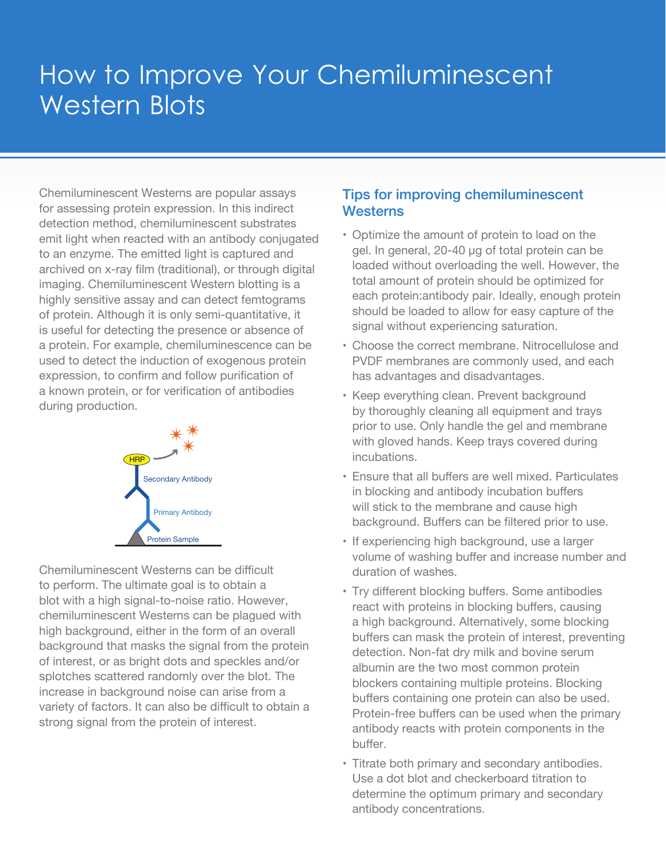## How to Improve Your Chemiluminescent Western Blots

Chemiluminescent Westerns are popular assays for assessing protein expression. In this indirect detection method, chemiluminescent substrates emit light when reacted with an antibody conjugated to an enzyme. The emitted light is captured and archived on x-ray film (traditional), or through digital imaging. Chemiluminescent Western blotting is a highly sensitive assay and can detect femtograms of protein. Although it is only semi-quantitative, it is useful for detecting the presence or absence of a protein. For example, chemiluminescence can be used to detect the induction of exogenous protein expression, to confirm and follow purification of a known protein, or for verification of antibodies during production.



Chemiluminescent Westerns can be difficult to perform. The ultimate goal is to obtain a blot with a high signal-to-noise ratio. However, chemiluminescent Westerns can be plagued with high background, either in the form of an overall background that masks the signal from the protein of interest, or as bright dots and speckles and/or splotches scattered randomly over the blot. The increase in background noise can arise from a variety of factors. It can also be difficult to obtain a strong signal from the protein of interest.

## Tips for improving chemiluminescent **Westerns**

- Optimize the amount of protein to load on the gel. In general, 20-40 μg of total protein can be loaded without overloading the well. However, the total amount of protein should be optimized for each protein:antibody pair. Ideally, enough protein should be loaded to allow for easy capture of the signal without experiencing saturation.
- Choose the correct membrane. Nitrocellulose and PVDF membranes are commonly used, and each has advantages and disadvantages.
- Keep everything clean. Prevent background by thoroughly cleaning all equipment and trays prior to use. Only handle the gel and membrane with gloved hands. Keep trays covered during incubations.
- Ensure that all buffers are well mixed. Particulates in blocking and antibody incubation buffers will stick to the membrane and cause high background. Buffers can be filtered prior to use.
- If experiencing high background, use a larger volume of washing buffer and increase number and duration of washes.
- Try different blocking buffers. Some antibodies react with proteins in blocking buffers, causing a high background. Alternatively, some blocking buffers can mask the protein of interest, preventing detection. Non-fat dry milk and bovine serum albumin are the two most common protein blockers containing multiple proteins. Blocking buffers containing one protein can also be used. Protein-free buffers can be used when the primary antibody reacts with protein components in the buffer.
- Titrate both primary and secondary antibodies. Use a dot blot and checkerboard titration to determine the optimum primary and secondary antibody concentrations.